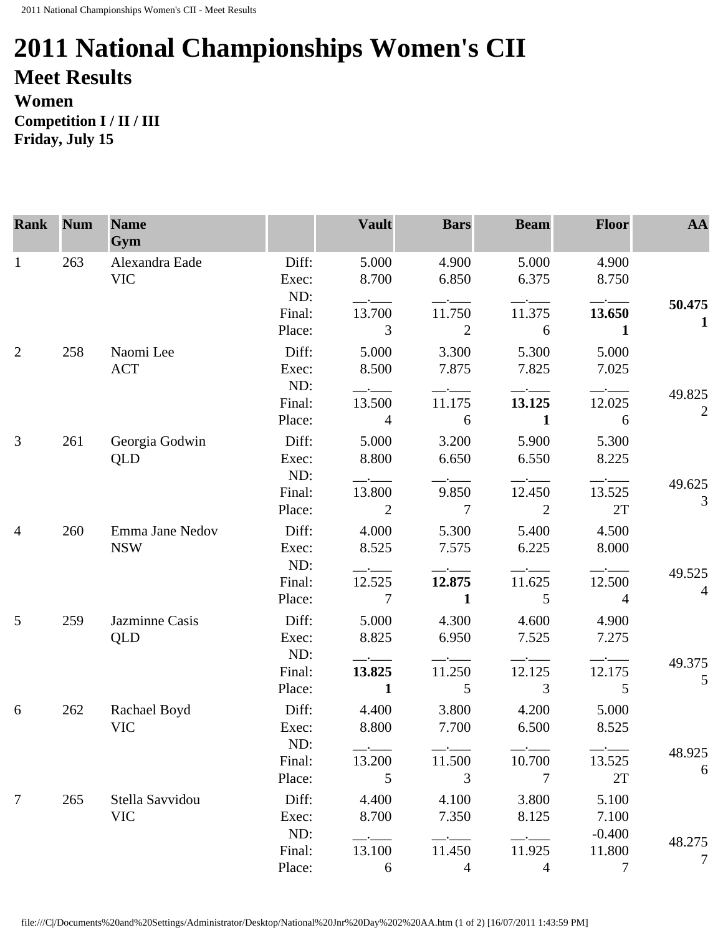## **2011 National Championships Women's CII Meet Results Women**

**Competition I / II / III Friday, July 15** 

| <b>Rank</b>     | <b>Num</b> | <b>Name</b><br>Gym            |                         | <b>Vault</b>                     | <b>Bars</b>                                                                                     | <b>Beam</b>                                          | <b>Floor</b>             | AA                       |
|-----------------|------------|-------------------------------|-------------------------|----------------------------------|-------------------------------------------------------------------------------------------------|------------------------------------------------------|--------------------------|--------------------------|
| $\mathbf{1}$    | 263        | Alexandra Eade<br><b>VIC</b>  | Diff:<br>Exec:          | 5.000<br>8.700                   | 4.900<br>6.850                                                                                  | 5.000<br>6.375                                       | 4.900<br>8.750           |                          |
|                 |            |                               | ND:<br>Final:           | $  -$<br>13.700                  | 11.750                                                                                          | 11.375                                               | 13.650                   | 50.475<br>$\mathbf{1}$   |
|                 |            |                               | Place:                  | 3                                | 2                                                                                               | 6                                                    | 1                        |                          |
| $\overline{2}$  | 258        | Naomi Lee<br><b>ACT</b>       | Diff:<br>Exec:          | 5.000<br>8.500                   | 3.300<br>7.875                                                                                  | 5.300<br>7.825                                       | 5.000<br>7.025           |                          |
|                 |            |                               | ND:<br>Final:<br>Place: | $ -$<br>13.500<br>$\overline{4}$ | $-\cdot$ $-$<br>11.175<br>6                                                                     | 13.125<br>$\mathbf{1}$                               | 12.025<br>6              | 49.825<br>$\mathfrak{2}$ |
| 3               | 261        | Georgia Godwin<br>QLD         | Diff:<br>Exec:          | 5.000<br>8.800                   | 3.200<br>6.650                                                                                  | 5.900<br>6.550                                       | 5.300<br>8.225           |                          |
|                 |            |                               | ND:<br>Final:<br>Place: | 13.800<br>2                      | 9.850<br>$\overline{7}$                                                                         | 12.450<br>$\overline{2}$                             | $ -$<br>13.525<br>2T     | 49.625<br>3              |
| $\overline{4}$  | 260        | Emma Jane Nedov<br><b>NSW</b> | Diff:<br>Exec:          | 4.000<br>8.525                   | 5.300<br>7.575                                                                                  | 5.400<br>6.225                                       | 4.500<br>8.000           |                          |
|                 |            |                               | ND:<br>Final:<br>Place: | 12.525<br>$7\phantom{.0}$        | 12.875<br>$\mathbf{1}$                                                                          | 11.625<br>5                                          | 12.500<br>$\overline{4}$ | 49.525<br>$\overline{4}$ |
| $5\overline{)}$ | 259        | Jazminne Casis<br><b>QLD</b>  | Diff:<br>Exec:          | 5.000<br>8.825                   | 4.300<br>6.950                                                                                  | 4.600<br>7.525                                       | 4.900<br>7.275           |                          |
|                 |            |                               | ND:<br>Final:<br>Place: | 13.825<br>$\mathbf{1}$           | 11.250<br>5                                                                                     | 12.125<br>$\overline{3}$                             | 12.175<br>5              | 49.375<br>5              |
| 6               | 262        | Rachael Boyd<br><b>VIC</b>    | Diff:<br>Exec:          | 4.400<br>8.800                   | 3.800<br>7.700                                                                                  | 4.200<br>6.500                                       | 5.000<br>8.525           |                          |
|                 |            |                               | ND:<br>Final:<br>Place: | 13.200<br>5                      | 11.500<br>3                                                                                     | 10.700<br>$\overline{7}$                             | 13.525<br>2T             | 48.925<br>6              |
| $\tau$          | 265        | Stella Savvidou<br><b>VIC</b> | Diff:<br>Exec:          | 4.400<br>8.700                   | 4.100<br>7.350                                                                                  | 3.800<br>8.125                                       | 5.100<br>7.100           |                          |
|                 |            |                               | ND:<br>Final:<br>Place: | $-\cdot$ $-$<br>13.100<br>6      | $\overline{\phantom{a}}$ . The contract of $\overline{\phantom{a}}$<br>11.450<br>$\overline{4}$ | $\overline{\phantom{a}}$<br>11.925<br>$\overline{4}$ | $-0.400$<br>11.800<br>7  | 48.275<br>7              |